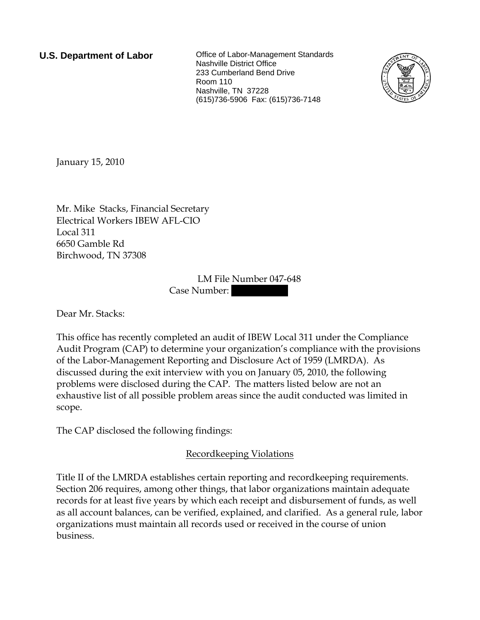**U.S. Department of Labor Collect** Office of Labor-Management Standards Nashville District Office 233 Cumberland Bend Drive Room 110 Nashville, TN 37228 (615)736-5906 Fax: (615)736-7148



January 15, 2010

Mr. Mike Stacks, Financial Secretary Electrical Workers IBEW AFL-CIO Local 311 6650 Gamble Rd Birchwood, TN 37308

> LM File Number 047-648 Case Number:

Dear Mr. Stacks:

This office has recently completed an audit of IBEW Local 311 under the Compliance Audit Program (CAP) to determine your organization's compliance with the provisions of the Labor-Management Reporting and Disclosure Act of 1959 (LMRDA). As discussed during the exit interview with you on January 05, 2010, the following problems were disclosed during the CAP. The matters listed below are not an exhaustive list of all possible problem areas since the audit conducted was limited in scope.

The CAP disclosed the following findings:

## Recordkeeping Violations

Title II of the LMRDA establishes certain reporting and recordkeeping requirements. Section 206 requires, among other things, that labor organizations maintain adequate records for at least five years by which each receipt and disbursement of funds, as well as all account balances, can be verified, explained, and clarified. As a general rule, labor organizations must maintain all records used or received in the course of union business.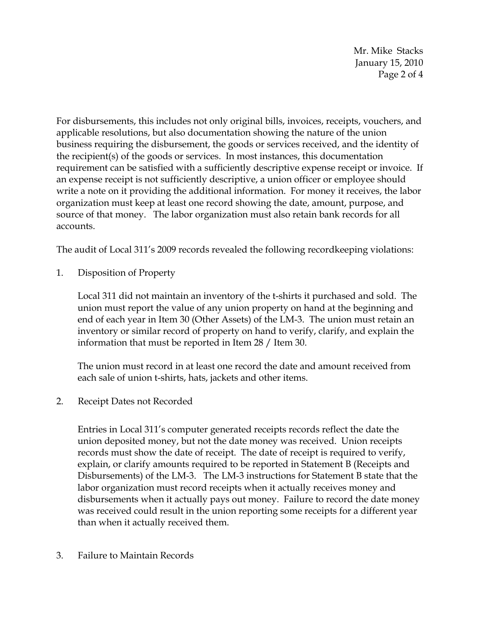Mr. Mike Stacks January 15, 2010 Page 2 of 4

For disbursements, this includes not only original bills, invoices, receipts, vouchers, and applicable resolutions, but also documentation showing the nature of the union business requiring the disbursement, the goods or services received, and the identity of the recipient(s) of the goods or services. In most instances, this documentation requirement can be satisfied with a sufficiently descriptive expense receipt or invoice. If an expense receipt is not sufficiently descriptive, a union officer or employee should write a note on it providing the additional information. For money it receives, the labor organization must keep at least one record showing the date, amount, purpose, and source of that money. The labor organization must also retain bank records for all accounts.

The audit of Local 311's 2009 records revealed the following recordkeeping violations:

1. Disposition of Property

Local 311 did not maintain an inventory of the t-shirts it purchased and sold. The union must report the value of any union property on hand at the beginning and end of each year in Item 30 (Other Assets) of the LM-3. The union must retain an inventory or similar record of property on hand to verify, clarify, and explain the information that must be reported in Item 28 / Item 30.

The union must record in at least one record the date and amount received from each sale of union t-shirts, hats, jackets and other items.

2. Receipt Dates not Recorded

Entries in Local 311's computer generated receipts records reflect the date the union deposited money, but not the date money was received. Union receipts records must show the date of receipt. The date of receipt is required to verify, explain, or clarify amounts required to be reported in Statement B (Receipts and Disbursements) of the LM-3. The LM-3 instructions for Statement B state that the labor organization must record receipts when it actually receives money and disbursements when it actually pays out money. Failure to record the date money was received could result in the union reporting some receipts for a different year than when it actually received them.

3. Failure to Maintain Records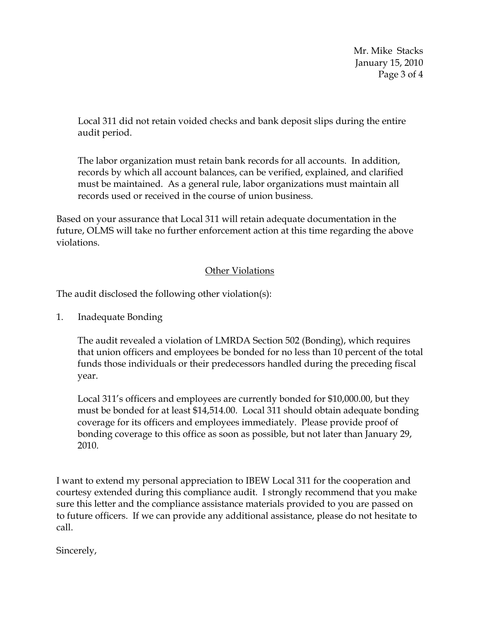Mr. Mike Stacks January 15, 2010 Page 3 of 4

Local 311 did not retain voided checks and bank deposit slips during the entire audit period.

The labor organization must retain bank records for all accounts. In addition, records by which all account balances, can be verified, explained, and clarified must be maintained. As a general rule, labor organizations must maintain all records used or received in the course of union business.

Based on your assurance that Local 311 will retain adequate documentation in the future, OLMS will take no further enforcement action at this time regarding the above violations.

## Other Violations

The audit disclosed the following other violation(s):

1. Inadequate Bonding

The audit revealed a violation of LMRDA Section 502 (Bonding), which requires that union officers and employees be bonded for no less than 10 percent of the total funds those individuals or their predecessors handled during the preceding fiscal year.

Local 311's officers and employees are currently bonded for \$10,000.00, but they must be bonded for at least \$14,514.00. Local 311 should obtain adequate bonding coverage for its officers and employees immediately. Please provide proof of bonding coverage to this office as soon as possible, but not later than January 29, 2010.

I want to extend my personal appreciation to IBEW Local 311 for the cooperation and courtesy extended during this compliance audit. I strongly recommend that you make sure this letter and the compliance assistance materials provided to you are passed on to future officers. If we can provide any additional assistance, please do not hesitate to call.

Sincerely,